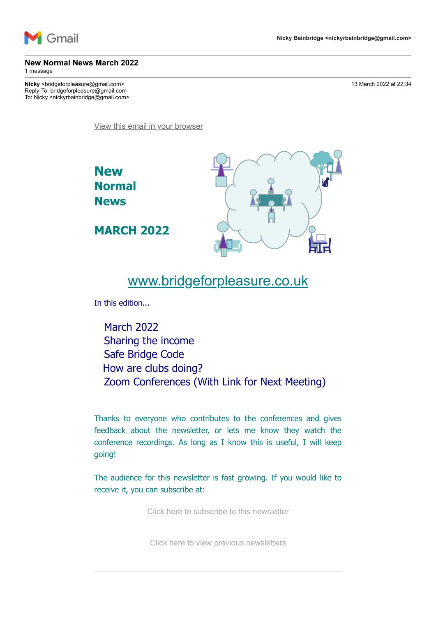

# **New Normal News March 2022**

1 message

**Nicky** <bridgeforpleasure@gmail.com> 13 March 2022 at 22:34 Reply-To: bridgeforpleasure@gmail.com To: Nicky <nickyrbainbridge@gmail.com>

[View this email in your browser](https://mailchi.mp/b716886aace8/new-normal-news-march-2022?e=7736085cbd)

**New Normal News**





# [www.bridgeforpleasure.co.uk](https://rugbyvillagebridge.us16.list-manage.com/track/click?u=5ca90c1560213b9616359b892&id=6d187c3ee1&e=7736085cbd)

In this edition...

March 2022 Sharing the income Safe Bridge Code How are clubs doing? Zoom Conferences (With Link for Next Meeting)

Thanks to everyone who contributes to the conferences and gives feedback about the newsletter, or lets me know they watch the conference recordings. As long as I know this is useful, I will keep going!

The audience for this newsletter is fast growing. If you would like to receive it, you can subscribe at:

[Click here to subscribe to this newsletter](https://rugbyvillagebridge.us16.list-manage.com/track/click?u=5ca90c1560213b9616359b892&id=4b2d5d04a2&e=7736085cbd)

[Click here to view previous newsletters](https://rugbyvillagebridge.us16.list-manage.com/track/click?u=5ca90c1560213b9616359b892&id=b1a4e23092&e=7736085cbd)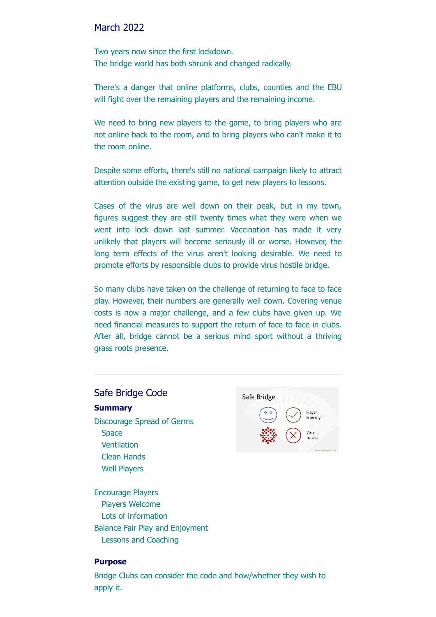#### March 2022

Two years now since the first lockdown. The bridge world has both shrunk and changed radically.

There's a danger that online platforms, clubs, counties and the EBU will fight over the remaining players and the remaining income.

We need to bring new players to the game, to bring players who are not online back to the room, and to bring players who can't make it to the room online.

Despite some efforts, there's still no national campaign likely to attract attention outside the existing game, to get new players to lessons.

Cases of the virus are well down on their peak, but in my town, figures suggest they are still twenty times what they were when we went into lock down last summer. Vaccination has made it very unlikely that players will become seriously ill or worse. However, the long term effects of the virus aren't looking desirable. We need to promote efforts by responsible clubs to provide virus hostile bridge.

So many clubs have taken on the challenge of returning to face to face play. However, their numbers are generally well down. Covering venue costs is now a major challenge, and a few clubs have given up. We need financial measures to support the return of face to face in clubs. After all, bridge cannot be a serious mind sport without a thriving grass roots presence.

# Safe Bridge Code

#### **Summary**

Discourage Spread of Germs **Space** Ventilation Clean Hands Well Players

Encourage Players Players Welcome Lots of information Balance Fair Play and Enjoyment Lessons and Coaching



#### **Purpose**

Bridge Clubs can consider the code and how/whether they wish to apply it.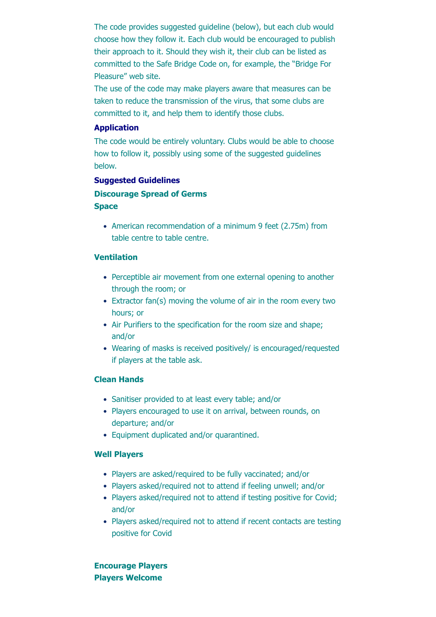The code provides suggested guideline (below), but each club would choose how they follow it. Each club would be encouraged to publish their approach to it. Should they wish it, their club can be listed as committed to the Safe Bridge Code on, for example, the "Bridge For Pleasure" web site.

The use of the code may make players aware that measures can be taken to reduce the transmission of the virus, that some clubs are committed to it, and help them to identify those clubs.

#### **Application**

The code would be entirely voluntary. Clubs would be able to choose how to follow it, possibly using some of the suggested guidelines below.

#### **Suggested Guidelines**

**Discourage Spread of Germs Space**

• American recommendation of a minimum 9 feet (2.75m) from table centre to table centre.

#### **Ventilation**

- Perceptible air movement from one external opening to another through the room; or
- Extractor fan(s) moving the volume of air in the room every two hours; or
- Air Purifiers to the specification for the room size and shape; and/or
- Wearing of masks is received positively/ is encouraged/requested if players at the table ask.

#### **Clean Hands**

- Sanitiser provided to at least every table; and/or
- Players encouraged to use it on arrival, between rounds, on departure; and/or
- Equipment duplicated and/or quarantined.

#### **Well Players**

- Players are asked/required to be fully vaccinated; and/or
- Players asked/required not to attend if feeling unwell; and/or
- Players asked/required not to attend if testing positive for Covid; and/or
- Players asked/required not to attend if recent contacts are testing positive for Covid

**Encourage Players Players Welcome**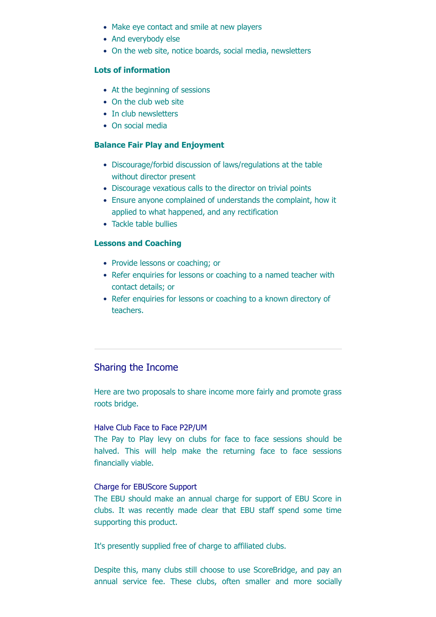- Make eye contact and smile at new players
- And everybody else
- On the web site, notice boards, social media, newsletters

#### **Lots of information**

- At the beginning of sessions
- On the club web site
- In club newsletters
- On social media

## **Balance Fair Play and Enjoyment**

- Discourage/forbid discussion of laws/regulations at the table without director present
- Discourage vexatious calls to the director on trivial points
- Ensure anyone complained of understands the complaint, how it applied to what happened, and any rectification
- Tackle table bullies

## **Lessons and Coaching**

- Provide lessons or coaching; or
- Refer enquiries for lessons or coaching to a named teacher with contact details; or
- Refer enquiries for lessons or coaching to a known directory of teachers.

# Sharing the Income

Here are two proposals to share income more fairly and promote grass roots bridge.

#### Halve Club Face to Face P2P/UM

The Pay to Play levy on clubs for face to face sessions should be halved. This will help make the returning face to face sessions financially viable.

#### Charge for EBUScore Support

The EBU should make an annual charge for support of EBU Score in clubs. It was recently made clear that EBU staff spend some time supporting this product.

It's presently supplied free of charge to affiliated clubs.

Despite this, many clubs still choose to use ScoreBridge, and pay an annual service fee. These clubs, often smaller and more socially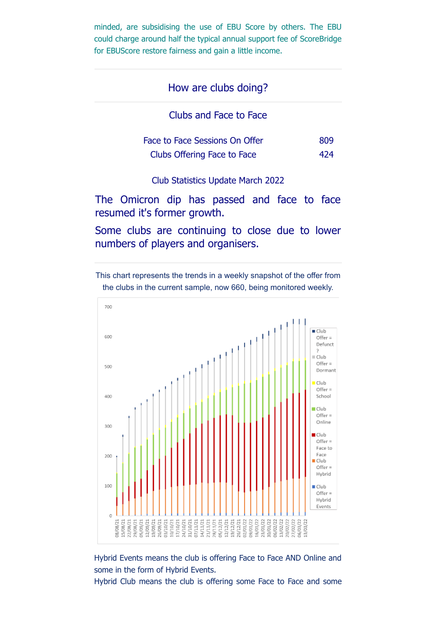minded, are subsidising the use of EBU Score by others. The EBU could charge around half the typical annual support fee of ScoreBridge for EBUScore restore fairness and gain a little income.

# How are clubs doing?

Clubs and Face to Face

| Face to Face Sessions On Offer | 809 |
|--------------------------------|-----|
| Clubs Offering Face to Face    | 474 |

Club Statistics Update March 2022

The Omicron dip has passed and face to face resumed it's former growth.

Some clubs are continuing to close due to lower numbers of players and organisers.

This chart represents the trends in a weekly snapshot of the offer from the clubs in the current sample, now 660, being monitored weekly.



Hybrid Events means the club is offering Face to Face AND Online and some in the form of Hybrid Events.

Hybrid Club means the club is offering some Face to Face and some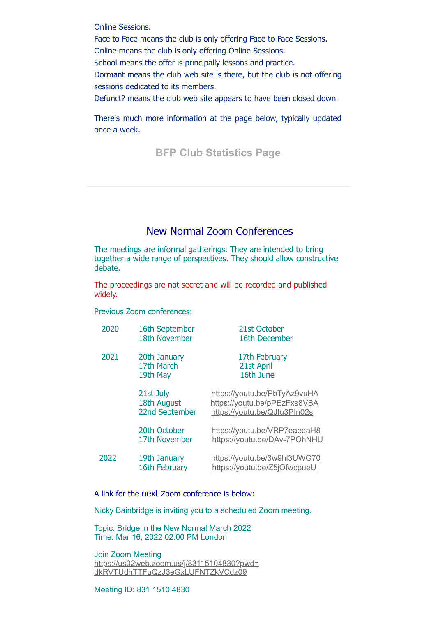Online Sessions.

Face to Face means the club is only offering Face to Face Sessions.

Online means the club is only offering Online Sessions.

School means the offer is principally lessons and practice.

Dormant means the club web site is there, but the club is not offering sessions dedicated to its members.

Defunct? means the club web site appears to have been closed down.

There's much more information at the page below, typically updated once a week.

**[BFP Club Statistics Page](https://rugbyvillagebridge.us16.list-manage.com/track/click?u=5ca90c1560213b9616359b892&id=ca2652b86f&e=7736085cbd)**

# New Normal Zoom Conferences

The meetings are informal gatherings. They are intended to bring together a wide range of perspectives. They should allow constructive debate.

The proceedings are not secret and will be recorded and published widely.

Previous Zoom conferences:

| 2020 | 16th September<br>18th November            | 21st October<br>16th December                                                                |
|------|--------------------------------------------|----------------------------------------------------------------------------------------------|
| 2021 | 20th January<br>17th March<br>19th May     | 17th February<br>21st April<br>16th June                                                     |
|      | 21st July<br>18th August<br>22nd September | https://youtu.be/PbTyAz9vuHA<br>https://youtu.be/pPEzFxs8VBA<br>https://youtu.be/QJlu3PIn02s |
|      | 20th October<br>17th November              | https://youtu.be/VRP7eaeqaH8<br>https://youtu.be/DAv-7POhNHU                                 |
| 2022 | 19th January<br>16th February              | https://youtu.be/3w9hl3UWG70<br>https://youtu.be/Z5jOfwcpueU                                 |

A link for the next Zoom conference is below:

Nicky Bainbridge is inviting you to a scheduled Zoom meeting.

Topic: Bridge in the New Normal March 2022 Time: Mar 16, 2022 02:00 PM London

Join Zoom Meeting [https://us02web.zoom.us/j/83115104830?pwd=](https://rugbyvillagebridge.us16.list-manage.com/track/click?u=5ca90c1560213b9616359b892&id=c7517a76d7&e=7736085cbd) dkRVTUdhTTFuQzJ3eGxLUFNTZkVCdz09

Meeting ID: 831 1510 4830